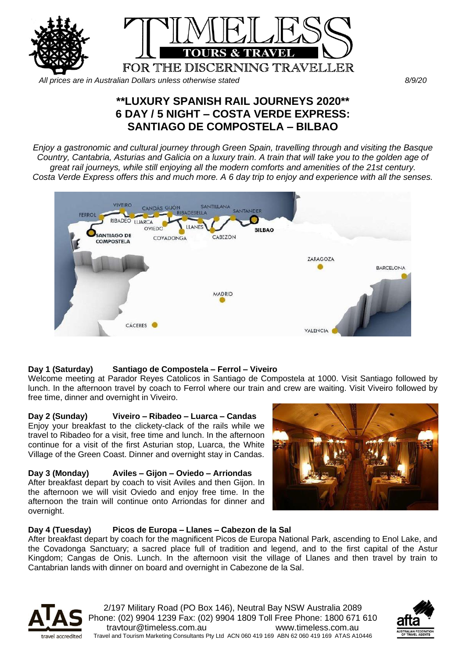

*All prices are in Australian Dollars unless otherwise stated 8/9/20*

# **\*\*LUXURY SPANISH RAIL JOURNEYS 2020\*\* 6 DAY / 5 NIGHT – COSTA VERDE EXPRESS: SANTIAGO DE COMPOSTELA – BILBAO**

*Enjoy a gastronomic and cultural journey through Green Spain, travelling through and visiting the Basque Country, Cantabria, Asturias and Galicia on a luxury train. A train that will take you to the golden age of great rail journeys, while still enjoying all the modern comforts and amenities of the 21st century. Costa Verde Express offers this and much more. A 6 day trip to enjoy and experience with all the senses.*



# **Day 1 (Saturday) Santiago de Compostela – Ferrol – Viveiro**

Welcome meeting at Parador Reyes Catolicos in Santiago de Compostela at 1000. Visit Santiago followed by lunch. In the afternoon travel by coach to Ferrol where our train and crew are waiting. Visit Viveiro followed by free time, dinner and overnight in Viveiro.

# **Day 2 (Sunday) Viveiro – Ribadeo – Luarca – Candas**

Enjoy your breakfast to the clickety-clack of the rails while we travel to Ribadeo for a visit, free time and lunch. In the afternoon continue for a visit of the first Asturian stop, Luarca, the White Village of the Green Coast. Dinner and overnight stay in Candas.

# **Day 3 (Monday) Aviles – Gijon – Oviedo – Arriondas**

After breakfast depart by coach to visit Aviles and then Gijon. In the afternoon we will visit Oviedo and enjoy free time. In the afternoon the train will continue onto Arriondas for dinner and overnight.



# **Day 4 (Tuesday) Picos de Europa – Llanes – Cabezon de la Sal**

After breakfast depart by coach for the magnificent Picos de Europa National Park, ascending to Enol Lake, and the Covadonga Sanctuary; a sacred place full of tradition and legend, and to the first capital of the Astur Kingdom; Cangas de Onis. Lunch. In the afternoon visit the village of Llanes and then travel by train to Cantabrian lands with dinner on board and overnight in Cabezone de la Sal.



2/197 Military Road (PO Box 146), Neutral Bay NSW Australia 2089 Phone: (02) 9904 1239 Fax: (02) 9904 1809 Toll Free Phone: 1800 671 610 travtour@timeless.com.au www.timeless.com.au Travel and Tourism Marketing Consultants Pty Ltd ACN 060 419 169 ABN 62 060 419 169 ATAS A10446